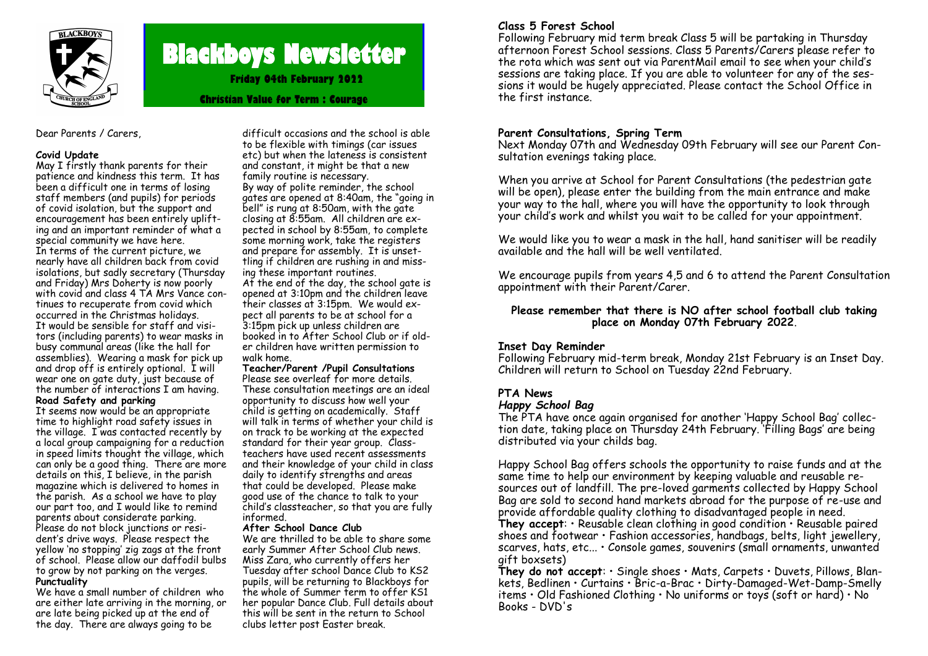

# **Blackboys Newsletter**

**Friday 04th February 2022**

**Christian Value for Term : Courage**

#### Dear Parents / Carers,

#### **Covid Update**

May I firstly thank parents for their patience and kindness this term. It has been a difficult one in terms of losing staff members (and pupils) for periods of covid isolation, but the support and encouragement has been entirely uplifting and an important reminder of what a special community we have here. In terms of the current picture, we nearly have all children back from covid isolations, but sadly secretary (Thursday and Friday) Mrs Doherty is now poorly with covid and class 4 TA Mrs Vance continues to recuperate from covid which occurred in the Christmas holidays. It would be sensible for staff and visitors (including parents) to wear masks in busy communal areas (like the hall for assemblies). Wearing a mask for pick up and drop off is entirely optional. I will wear one on gate duty, just because of the number of interactions I am having. **Road Safety and parking**

It seems now would be an appropriate time to highlight road safety issues in the village. I was contacted recently by a local group campaigning for a reduction in speed limits thought the village, which can only be a good thing. There are more details on this, I believe, in the parish magazine which is delivered to homes in the parish. As a school we have to play our part too, and I would like to remind parents about considerate parking. Please do not block junctions or resident's drive ways. Please respect the yellow 'no stopping' zig zags at the front of school. Please allow our daffodil bulbs to grow by not parking on the verges. **Punctuality**

We have a small number of children who are either late arriving in the morning, or are late being picked up at the end of the day. There are always going to be

difficult occasions and the school is able to be flexible with timings (car issues etc) but when the lateness is consistent and constant, it might be that a new family routine is necessary. By way of polite reminder, the school gates are opened at 8:40am, the "going in bell" is rung at 8:50am, with the gate closing at 8:55am. All children are expected in school by 8:55am, to complete some morning work, take the registers and prepare for assembly. It is unsettling if children are rushing in and missing these important routines.

At the end of the day, the school gate is opened at 3:10pm and the children leave their classes at 3:15pm. We would expect all parents to be at school for a 3:15pm pick up unless children are booked in to After School Club or if older children have written permission to walk home.

# **Teacher/Parent /Pupil Consultations**

Please see overleaf for more details. These consultation meetings are an ideal opportunity to discuss how well your child is getting on academically. Staff will talk in terms of whether your child is on track to be working at the expected standard for their year group. Classteachers have used recent assessments and their knowledge of your child in class daily to identify strengths and areas that could be developed. Please make good use of the chance to talk to your child's classteacher, so that you are fully informed.

#### **After School Dance Club**

We are thrilled to be able to share some early Summer After School Club news. Miss Zara, who currently offers her Tuesday after school Dance Club to KS2 pupils, will be returning to Blackboys for the whole of Summer term to offer KS1 her popular Dance Club. Full details about this will be sent in the return to School clubs letter post Easter break.

# **Class 5 Forest School**

Following February mid term break Class 5 will be partaking in Thursday afternoon Forest School sessions. Class 5 Parents/Carers please refer to the rota which was sent out via ParentMail email to see when your child's sessions are taking place. If you are able to volunteer for any of the sessions it would be hugely appreciated. Please contact the School Office in the first instance.

## **Parent Consultations, Spring Term**

Next Monday 07th and Wednesday 09th February will see our Parent Consultation evenings taking place.

When you arrive at School for Parent Consultations (the pedestrian gate will be open), please enter the building from the main entrance and make your way to the hall, where you will have the opportunity to look through your child's work and whilst you wait to be called for your appointment.

We would like you to wear a mask in the hall, hand sanitiser will be readily available and the hall will be well ventilated.

We encourage pupils from years 4,5 and 6 to attend the Parent Consultation appointment with their Parent/Carer.

## **Please remember that there is NO after school football club taking place on Monday 07th February 2022**.

# **Inset Day Reminder**

Following February mid-term break, Monday 21st February is an Inset Day. Children will return to School on Tuesday 22nd February.

# **PTA News**

## *Happy School Bag*

The PTA have once again organised for another 'Happy School Bag' collection date, taking place on Thursday 24th February. 'Filling Bags' are being distributed via your childs bag.

Happy School Bag offers schools the opportunity to raise funds and at the same time to help our environment by keeping valuable and reusable resources out of landfill. The pre-loved garments collected by Happy School Bag are sold to second hand markets abroad for the purpose of re-use and provide affordable quality clothing to disadvantaged people in need.

**They accept**: • Reusable clean clothing in good condition • Reusable paired shoes and footwear • Fashion accessories, handbags, belts, light jewellery, scarves, hats, etc... • Console games, souvenirs (small ornaments, unwanted gift boxsets)

**They do not accept**: • Single shoes • Mats, Carpets • Duvets, Pillows, Blankets, Bedlinen • Curtains • Bric-a-Brac • Dirty-Damaged-Wet-Damp-Smelly items • Old Fashioned Clothing • No uniforms or toys (soft or hard) • No Books - DVD's